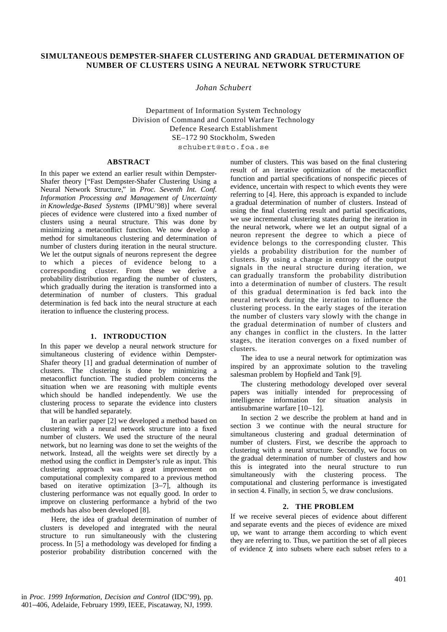# **SIMULTANEOUS DEMPSTER-SHAFER CLUSTERING AND GRADUAL DETERMINATION OF NUMBER OF CLUSTERS USING A NEURAL NETWORK STRUCTURE**

*Johan Schubert*

Department of Information System Technology Division of Command and Control Warfare Technology Defence Research Establishment SE–172 90 Stockholm, Sweden schubert@sto.foa.se

# **ABSTRACT**

In this paper we extend an earlier result within Dempster-Shafer theory ["Fast Dempster-Shafer Clustering Using a Neural Network Structure," in *Proc. Seventh Int. Conf. Information Processing and Management of Uncertainty in Knowledge-Based Systems* (IPMU'98)] where several pieces of evidence were clustered into a fixed number of clusters using a neural structure. This was done by minimizing a metaconflict function. We now develop a method for simultaneous clustering and determination of number of clusters during iteration in the neural structure. We let the output signals of neurons represent the degree to which a pieces of evidence belong to a corresponding cluster. From these we derive a probability distribution regarding the number of clusters, which gradually during the iteration is transformed into a determination of number of clusters. This gradual determination is fed back into the neural structure at each iteration to influence the clustering process.

#### **1. INTRODUCTION**

In this paper we develop a neural network structure for simultaneous clustering of evidence within Dempster-Shafer theory [1] and gradual determination of number of clusters. The clustering is done by minimizing a metaconflict function. The studied problem concerns the situation when we are reasoning with multiple events which should be handled independently. We use the clustering process to separate the evidence into clusters that will be handled separately.

In an earlier paper [2] we developed a method based on clustering with a neural network structure into a fixed number of clusters. We used the structure of the neural network, but no learning was done to set the weights of the network. Instead, all the weights were set directly by a method using the conflict in Dempster's rule as input. This clustering approach was a great improvement on computational complexity compared to a previous method based on iterative optimization [3−7], although its clustering performance was not equally good. In order to improve on clustering performance a hybrid of the two methods has also been developed [8].

Here, the idea of gradual determination of number of clusters is developed and integrated with the neural structure to run simultaneously with the clustering process. In [5] a methodology was developed for finding a posterior probability distribution concerned with the

number of clusters. This was based on the final clustering result of an iterative optimization of the metaconflict function and partial specifications of nonspecific pieces of evidence, uncertain with respect to which events they were referring to [4]. Here, this approach is expanded to include a gradual determination of number of clusters. Instead of using the final clustering result and partial specifications, we use incremental clustering states during the iteration in the neural network, where we let an output signal of a neuron represent the degree to which a piece of evidence belongs to the corresponding cluster. This yields a probability distribution for the number of clusters. By using a change in entropy of the output signals in the neural structure during iteration, we can gradually transform the probability distribution into a determination of number of clusters. The result of this gradual determination is fed back into the neural network during the iteration to influence the clustering process. In the early stages of the iteration the number of clusters vary slowly with the change in the gradual determination of number of clusters and any changes in conflict in the clusters. In the latter stages, the iteration converges on a fixed number of clusters.

The idea to use a neural network for optimization was inspired by an approximate solution to the traveling salesman problem by Hopfield and Tank [9].

The clustering methodology developed over several papers was initially intended for preprocessing of intelligence information for situation analysis in antisubmarine warfare [10−12].

In section 2 we describe the problem at hand and in section 3 we continue with the neural structure for simultaneous clustering and gradual determination of number of clusters. First, we describe the approach to clustering with a neural structure. Secondly, we focus on the gradual determination of number of clusters and how this is integrated into the neural structure to run simultaneously with the clustering process. The computational and clustering performance is investigated in section 4. Finally, in section 5, we draw conclusions.

## **2. THE PROBLEM**

If we receive several pieces of evidence about different and separate events and the pieces of evidence are mixed up, we want to arrange them according to which event they are referring to. Thus, we partition the set of all pieces of evidence  $\chi$  into subsets where each subset refers to a

in *Proc. 1999 Information, Decision and Control* (IDC'99)*,* pp. 401−406, Adelaide, February 1999, IEEE, Piscataway, NJ, 1999.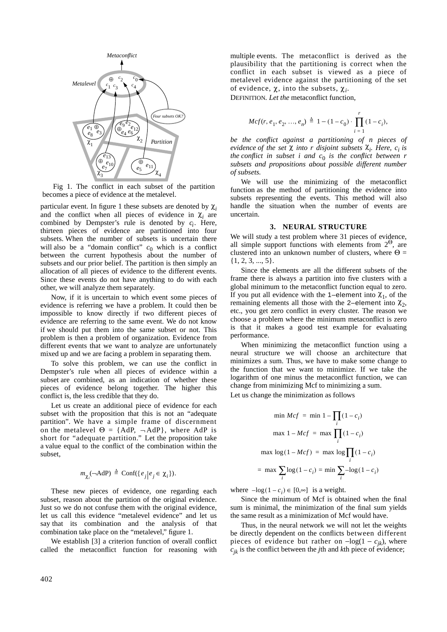

Fig 1. The conflict in each subset of the partition becomes a piece of evidence at the metalevel.

particular event. In figure 1 these subsets are denoted by  $\chi_i$ and the conflict when all pieces of evidence in  $\chi_i$  are combined by Dempster's rule is denoted by *ci*. Here, thirteen pieces of evidence are partitioned into four subsets. When the number of subsets is uncertain there will also be a "domain conflict"  $c_0$  which is a conflict between the current hypothesis about the number of subsets and our prior belief. The partition is then simply an allocation of all pieces of evidence to the different events. Since these events do not have anything to do with each other, we will analyze them separately.

Now, if it is uncertain to which event some pieces of evidence is referring we have a problem. It could then be impossible to know directly if two different pieces of evidence are referring to the same event. We do not know if we should put them into the same subset or not. This problem is then a problem of organization. Evidence from different events that we want to analyze are unfortunately mixed up and we are facing a problem in separating them.

To solve this problem, we can use the conflict in Dempster's rule when all pieces of evidence within a subset are combined, as an indication of whether these pieces of evidence belong together. The higher this conflict is, the less credible that they do.

Let us create an additional piece of evidence for each subset with the proposition that this is not an "adequate partition". We have a simple frame of discernment on the metalevel  $\Theta = \{AdP, -AdP\}$ , where AdP is short for "adequate partition." Let the proposition take a value equal to the conflict of the combination within the subset,

$$
m_{\chi_i}(\neg \text{AdP}) \stackrel{\Delta}{=} \text{Conf}(\{e_j \mid e_j \in \chi_i\}).
$$

These new pieces of evidence, one regarding each subset, reason about the partition of the original evidence. Just so we do not confuse them with the original evidence, let us call this evidence "metalevel evidence" and let us say that its combination and the analysis of that combination take place on the "metalevel," figure 1.

We establish [3] a criterion function of overall conflict called the metaconflict function for reasoning with

multiple events. The metaconflict is derived as the plausibility that the partitioning is correct when the conflict in each subset is viewed as a piece of metalevel evidence against the partitioning of the set of evidence, χ, into the subsets, χ*i*.

DEFINITION*. Let the* metaconflict function,

$$
Mcf(r, e_1, e_2, ..., e_n) \triangleq 1 - (1 - c_0) \cdot \prod_{i=1}^{r} (1 - c_i),
$$

*be the conflict against a partitioning of n pieces of evidence of the set* χ *into r disjoint subsets* χ*<sup>i</sup> . Here, ci is the conflict in subset i and*  $c_0$  *is the conflict between r subsets and propositions about possible different number of subsets.*

We will use the minimizing of the metaconflict function as the method of partitioning the evidence into subsets representing the events. This method will also handle the situation when the number of events are uncertain.

#### **3. NEURAL STRUCTURE**

We will study a test problem where 31 pieces of evidence, all simple support functions with elements from  $2^{\Theta}$ , are clustered into an unknown number of clusters, where  $\Theta =$ {1, 2, 3, ..., 5}.

Since the elements are all the different subsets of the frame there is always a partition into five clusters with a global minimum to the metaconflict function equal to zero. If you put all evidence with the 1–element into  $\chi_1$ , of the remaining elements all those with the 2–element into  $\chi_2$ , etc., you get zero conflict in every cluster. The reason we choose a problem where the minimum metaconflict is zero is that it makes a good test example for evaluating performance.

When minimizing the metaconflict function using a neural structure we will choose an architecture that minimizes a sum. Thus, we have to make some change to the function that we want to minimize. If we take the logarithm of one minus the metaconflict function, we can change from minimizing Mcf to minimizing a sum.

Let us change the minimization as follows

$$
\min Mcf = \min 1 - \prod_i (1 - c_i)
$$
  

$$
\max 1 - Mcf = \max \prod_i (1 - c_i)
$$
  

$$
\max \log(1 - Mcf) = \max \log \prod_i (1 - c_i)
$$
  

$$
= \max \sum_i \log(1 - c_i) = \min \sum_i -\log(1 - c_i)
$$

where  $-\log(1 - c_i) \in [0, \infty]$  is a weight.

Since the minimum of Mcf is obtained when the final sum is minimal, the minimization of the final sum yields the same result as a minimization of Mcf would have.

Thus, in the neural network we will not let the weights be directly dependent on the conflicts between different pieces of evidence but rather on  $-\log(1 - c_{ik})$ , where  $c_{jk}$  is the conflict between the *j*th and *k*th piece of evidence;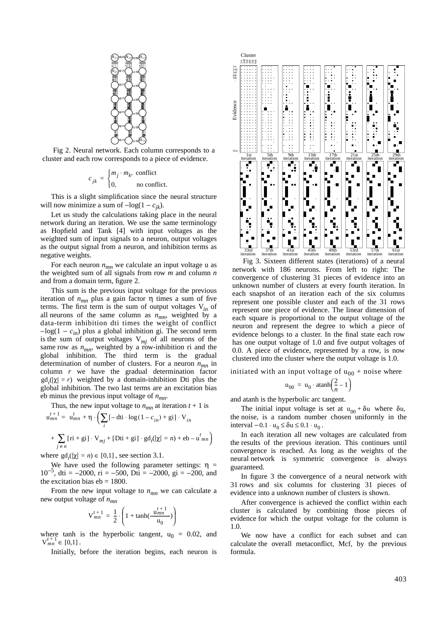

Fig 2. Neural network. Each column corresponds to a cluster and each row corresponds to a piece of evidence.

$$
c_{jk} = \begin{cases} m_j \cdot m_k, & \text{conflict} \\ 0, & \text{no conflict.} \end{cases}
$$

This is a slight simplification since the neural structure will now minimize a sum of  $-\log(1 - c_{ik})$ .

Let us study the calculations taking place in the neural network during an iteration. We use the same terminology as Hopfield and Tank [4] with input voltages as the weighted sum of input signals to a neuron, output voltages as the output signal from a neuron, and inhibition terms as negative weights.

For each neuron  $n_{mn}$  we calculate an input voltage u as the weighted sum of all signals from row *m* and column *n* and from a domain term, figure 2.

This sum is the previous input voltage for the previous iteration of  $n_{mn}$  plus a gain factor  $η$  times a sum of five terms. The first term is the sum of output voltages V*in* of all neurons of the same column as  $n_{mn}$ , weighted by a data-term inhibition dti times the weight of conflict −log(1 − *cin*) plus a global inhibition gi. The second term is the sum of output voltages  $V_{mj}$  of all neurons of the same row as  $n_{mn}$ , weighted by a row-inhibition ri and the global inhibition. The third term is the gradual determination of number of clusters. For a neuron  $n_{mn}$  in column *r* we have the gradual determination factor  $gd_t(|\chi| = r)$  weighted by a domain-inhibition Dti plus the global inhibition. The two last terms are an excitation bias eb minus the previous input voltage of  $n_{mn}$ .

Thus, the new input voltage to  $n_{mn}$  at iteration  $t + 1$  is

$$
u_{mn}^{t+1} = u_{mn}^t + \eta \cdot \left(\sum_i [-di \cdot \log(1 - c_{in}) + gi] \cdot V_{in} + \sum_{j \neq n} [ri + gi] \cdot V_{mj} + [Dti + gi] \cdot gd_f(|\chi| = n) + eb - u_{mn}^t\right)
$$

where  $gd_t(|\chi| = n) \in [0,1]$ , see section 3.1.

We have used the following parameter settings:  $\eta$  =  $10^{-5}$ , dti = -2000, ri = -500, Dti = -2000, gi = -200, and the excitation bias  $eb = 1800$ .

From the new input voltage to  $n_{mn}$  we can calculate a new output voltage of  $n_{mn}$ 

$$
V_{mn}^{t+1} = \frac{1}{2} \cdot \left( 1 + \tanh(\frac{u_{mn}^{t+1}}{u_0}) \right)
$$

where tanh is the hyperbolic tangent,  $u_0 = 0.02$ , and  $V_{mn}^{t+1} \in [0,1]$ .

Initially, before the iteration begins, each neuron is



Fig 3. Sixteen different states (iterations) of a neural network with 186 neurons. From left to right: The convergence of clustering 31 pieces of evidence into an unknown number of clusters at every fourth iteration. In each snapshot of an iteration each of the six columns represent one possible cluster and each of the 31 rows represent one piece of evidence. The linear dimension of each square is proportional to the output voltage of the neuron and represent the degree to which a piece of evidence belongs to a cluster. In the final state each row has one output voltage of 1.0 and five output voltages of 0.0. A piece of evidence, represented by a row, is now clustered into the cluster where the output voltage is 1.0.

initiated with an input voltage of  $u_{00}$  + noise where

$$
\mathbf{u}_{00} = \mathbf{u}_0 \cdot \operatorname{atanh}\left(\frac{2}{n} - 1\right)
$$

and atanh is the hyperbolic arc tangent.

The initial input voltage is set at  $u_{00} + \delta u$  where  $\delta u$ , the noise, is a random number chosen uniformly in the interval  $-0.1 \cdot u_0 \le \delta u \le 0.1 \cdot u_0$ .

In each iteration all new voltages are calculated from the results of the previous iteration. This continues until convergence is reached. As long as the weights of the neural network is symmetric convergence is always guaranteed.

In figure 3 the convergence of a neural network with 31 rows and six columns for clustering 31 pieces of evidence into a unknown number of clusters is shown.

After convergence is achieved the conflict within each cluster is calculated by combining those pieces of evidence for which the output voltage for the column is 1.0.

We now have a conflict for each subset and can calculate the overall metaconflict, Mcf, by the previous formula.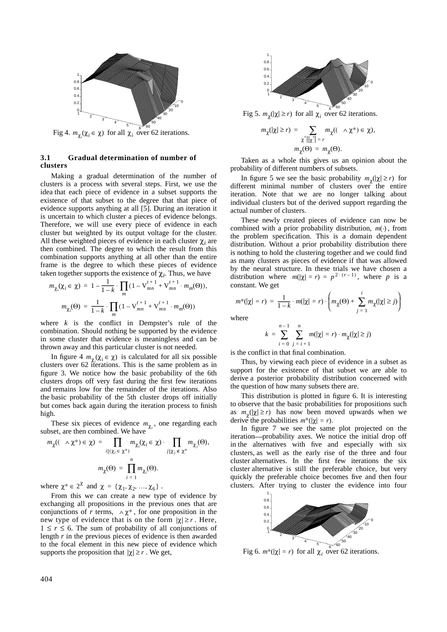

Fig 4.  $m_{\chi_i}(\chi_i \in \chi)$  for all  $\chi_i$  over 62 iterations.

## **3.1 Gradual determination of number of clusters**

Making a gradual determination of the number of clusters is a process with several steps. First, we use the idea that each piece of evidence in a subset supports the existence of that subset to the degree that that piece of evidence supports anything at all [5]. During an iteration it is uncertain to which cluster a pieces of evidence belongs. Therefore, we will use every piece of evidence in each cluster but weighted by its output voltage for the cluster. All these weighted pieces of evidence in each cluster  $\chi_i$  are then combined. The degree to which the result from this combination supports anything at all other than the entire frame is the degree to which these pieces of evidence taken together supports the existence of  $\chi_i$ . Thus, we have

$$
m_{\chi_i}(\chi_i \in \chi) = 1 - \frac{1}{1 - k} \cdot \prod_m (1 - V_{mn}^{t+1} + V_{mn}^{t+1} \cdot m_m(\Theta)),
$$
  

$$
m_{\chi_i}(\Theta) = \frac{1}{1 - k} \cdot \prod_m (1 - V_{mn}^{t+1} + V_{mn}^{t+1} \cdot m_m(\Theta))
$$

where  $k$  is the conflict in Dempster's rule of the combination. Should nothing be supported by the evidence in some cluster that evidence is meaningless and can be thrown away and this particular cluster is not needed.

In figure  $4 m_{\chi_i}(\chi_i \in \chi)$  is calculated for all six possible clusters over 62 iterations. This is the same problem as in figure 3. We notice how the basic probability of the 6th clusters drops off very fast during the first few iterations and remains low for the remainder of the iterations. Also the basic probability of the 5th cluster drops off initially but comes back again during the iteration process to finish high.

These six pieces of evidence  $m_{\chi_i}$ , one regarding each subset, are then combined. We have

$$
m_{\chi}((\wedge \chi^*) \in \chi) = \prod_{i | (\chi_i \in \chi^*)} m_{\chi_i}(\chi_i \in \chi) \cdot \prod_{j | \chi_j \in \chi^*} m_{\chi_j}(\Theta),
$$

$$
m_{\chi}(\Theta) = \prod_{i=1}^n m_{\chi_i}(\Theta).
$$

where  $\chi^* \in 2^{\chi}$  and  $\chi = {\chi_1, \chi_2, ..., \chi_6}$ .

From this we can create a new type of evidence by exchanging all propositions in the previous ones that are conjunctions of *r* terms,  $\wedge \chi^*$ , for one proposition in the new type of evidence that is on the form  $|\chi| \ge r$ . Here,  $1 \leq r \leq 6$ . The sum of probability of all conjunctions of length *r* in the previous pieces of evidence is then awarded to the focal element in this new piece of evidence which supports the proposition that  $|\chi| \ge r$ . We get,



Fig 5.  $m_{\chi}(|\chi| \ge r)$  for all  $\chi_i$  over 62 iterations.

$$
m_{\chi}(|\chi| \ge r) = \sum_{\substack{\chi^* \mid |\chi^*| = r}} m_{\chi}((\Lambda \chi^*) \in \chi),
$$
  

$$
m_{\chi}(\Theta) = m_{\chi}(\Theta).
$$

Taken as a whole this gives us an opinion about the probability of different numbers of subsets.

In figure 5 we see the basic probability  $m_\chi(|\chi| \ge r)$  for different minimal number of clusters over the entire iteration. Note that we are no longer talking about individual clusters but of the derived support regarding the actual number of clusters.

These newly created pieces of evidence can now be combined with a prior probability distribution,  $m(\cdot)$ , from the problem specification. This is a domain dependent distribution. Without a prior probability distribution there is nothing to hold the clustering together and we could find as many clusters as pieces of evidence if that was allowed by the neural structure. In these trials we have chosen a distribution where  $m(|\chi| = r) = p^{2 \cdot (r-1)}$ , where p is a constant. We get

$$
m^*(|\chi| = r) = \frac{1}{1-k} \cdot m(|\chi| = r) \cdot \left( m_\chi(\Theta) + \sum_{j=1}^i m_\chi(|\chi| \ge j) \right)
$$

where

$$
k = \sum_{i=0}^{n-1} \sum_{j=i+1}^{n} m(|\chi| = r) \cdot m_{\chi}(|\chi| \ge j)
$$

is the conflict in that final combination.

Thus, by viewing each piece of evidence in a subset as support for the existence of that subset we are able to derive a posterior probability distribution concerned with the question of how many subsets there are.

This distribution is plotted in figure 6. It is interesting to observe that the basic probabilities for propositions such as  $m_\chi(|\chi| \ge r)$  has now been moved upwards when we derive the probabilities  $m^*(|\chi| = r)$ .

In figure 7 we see the same plot projected on the iteration-probability axes. We notice the initial drop off in the alternatives with five and especially with six clusters, as well as the early rise of the three and four cluster alternatives. In the first few iterations the six cluster alternative is still the preferable choice, but very quickly the preferable choice becomes five and then four clusters. After trying to cluster the evidence into four



Fig 6.  $m*(|\chi| = r)$  for all  $\chi_i$  over 62 iterations.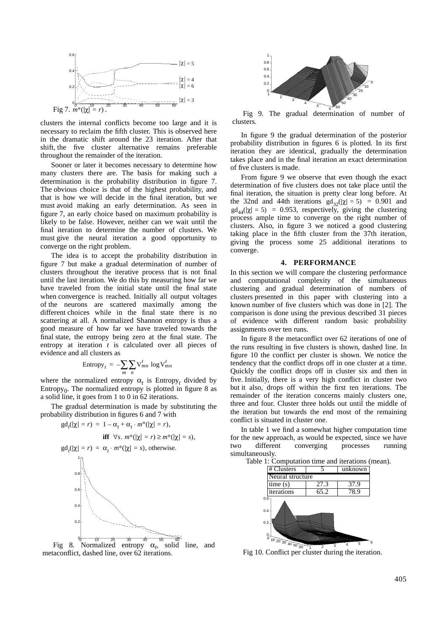

clusters the internal conflicts become too large and it is necessary to reclaim the fifth cluster. This is observed here in the dramatic shift around the 23 iteration. After that shift, the five cluster alternative remains preferable throughout the remainder of the iteration.

Sooner or later it becomes necessary to determine how many clusters there are. The basis for making such a determination is the probability distribution in figure 7. The obvious choice is that of the highest probability, and that is how we will decide in the final iteration, but we must avoid making an early determination. As seen in figure 7, an early choice based on maximum probability is likely to be false. However, neither can we wait until the final iteration to determine the number of clusters. We must give the neural iteration a good opportunity to converge on the right problem.

The idea is to accept the probability distribution in figure 7 but make a gradual determination of number of clusters throughout the iterative process that is not final until the last iteration. We do this by measuring how far we have traveled from the initial state until the final state when convergence is reached. Initially all output voltages of the neurons are scattered maximally among the different choices while in the final state there is no scattering at all. A normalized Shannon entropy is thus a good measure of how far we have traveled towards the final state, the entropy being zero at the final state. The entropy at iteration *t* is calculated over all pieces of evidence and all clusters as

Entropy<sub>t</sub> = 
$$
-\sum_{m} \sum_{n} V_{mn}^{t} \log V_{mn}^{t}
$$

where the normalized entropy  $\alpha_t$  is Entropy<sub>t</sub> divided by Entropy $_0$ . The normalized entropy is plotted in figure 8 as a solid line, it goes from 1 to 0 in 62 iterations.

The gradual determination is made by substituting the probability distribution in figures 6 and 7 with

**iff**  $\forall s. m^*(|\chi| = r) \ge m^*(|\chi| = s),$ 

 $gd_t(|\chi| = r) = 1 - \alpha_t + \alpha_t \cdot m^*(|\chi| = r),$ 



Fig 8. Normalized entropy  $\alpha_t$ , solid line, and metaconflict, dashed line, over 62 iterations.



Fig 9. The gradual determination of number of clusters.

In figure 9 the gradual determination of the posterior probability distribution in figures 6 is plotted. In its first iteration they are identical, gradually the determination takes place and in the final iteration an exact determination of five clusters is made.

From figure 9 we observe that even though the exact determination of five clusters does not take place until the final iteration, the situation is pretty clear long before. At the 32nd and 44th iterations  $gd_{32}(|\chi| = 5) = 0.901$  and  $\text{gd}_{44}(|\chi| = 5) = 0.953$ , respectively, giving the clustering process ample time to converge on the right number of clusters. Also, in figure 3 we noticed a good clustering taking place in the fifth cluster from the 37th iteration, giving the process some 25 additional iterations to converge.

#### **4. PERFORMANCE**

In this section we will compare the clustering performance and computational complexity of the simultaneous clustering and gradual determination of numbers of clusters presented in this paper with clustering into a known number of five clusters which was done in [2]. The comparison is done using the previous described 31 pieces of evidence with different random basic probability assignments over ten runs.

In figure 8 the metaconflict over 62 iterations of one of the runs resulting in five clusters is shown, dashed line. In figure 10 the conflict per cluster is shown. We notice the tendency that the conflict drops off in one cluster at a time. Quickly the conflict drops off in cluster six and then in five. Initially, there is a very high conflict in cluster two but it also, drops off within the first ten iterations. The remainder of the iteration concerns mainly clusters one, three and four. Cluster three holds out until the middle of the iteration but towards the end most of the remaining conflict is situated in cluster one.

In table 1 we find a somewhat higher computation time for the new approach, as would be expected, since we have two different converging processes running simultaneously.



Fig 10. Conflict per cluster during the iteration.